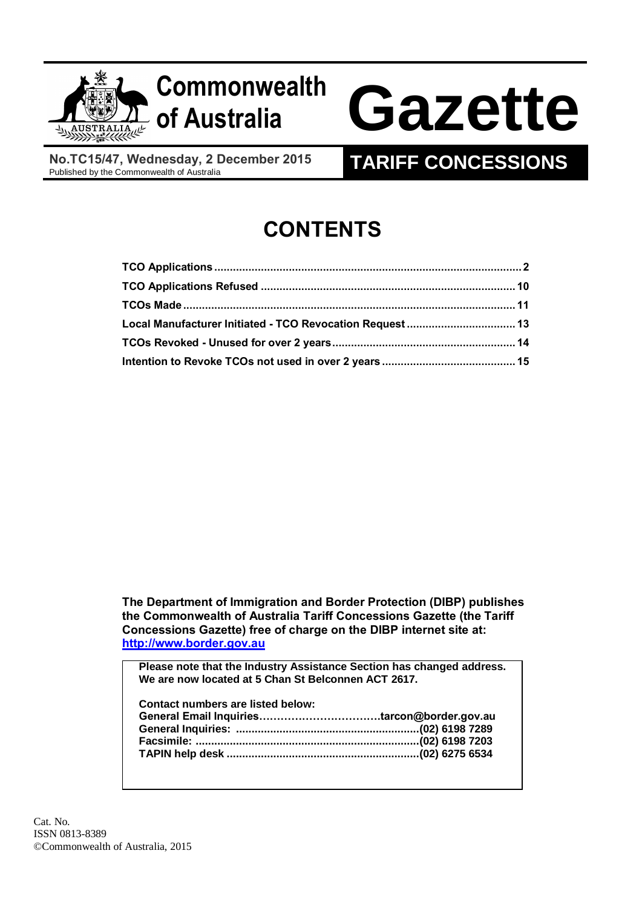

# **Commonwealth**

# **of Australia Gazette**

**No.TC15/47, Wednesday, 2 December 2015**<br>Published by the Commonwealth of Australia

# **TARIFF CONCESSIONS**

# **CONTENTS**

| Local Manufacturer Initiated - TCO Revocation Request  13 |  |
|-----------------------------------------------------------|--|
|                                                           |  |
|                                                           |  |

**The Department of Immigration and Border Protection (DIBP) publishes the Commonwealth of Australia Tariff Concessions Gazette (the Tariff Concessions Gazette) free of charge on the DIBP internet site at: [http://www.border.gov.au](http://www.border.gov.au/)**

**Please note that the Industry Assistance Section has changed address. We are now located at 5 Chan St Belconnen ACT 2617.**

| Contact numbers are listed below: |  |
|-----------------------------------|--|
|                                   |  |
|                                   |  |
|                                   |  |
|                                   |  |
|                                   |  |

Cat. No. ISSN 0813-8389 ©Commonwealth of Australia, 2015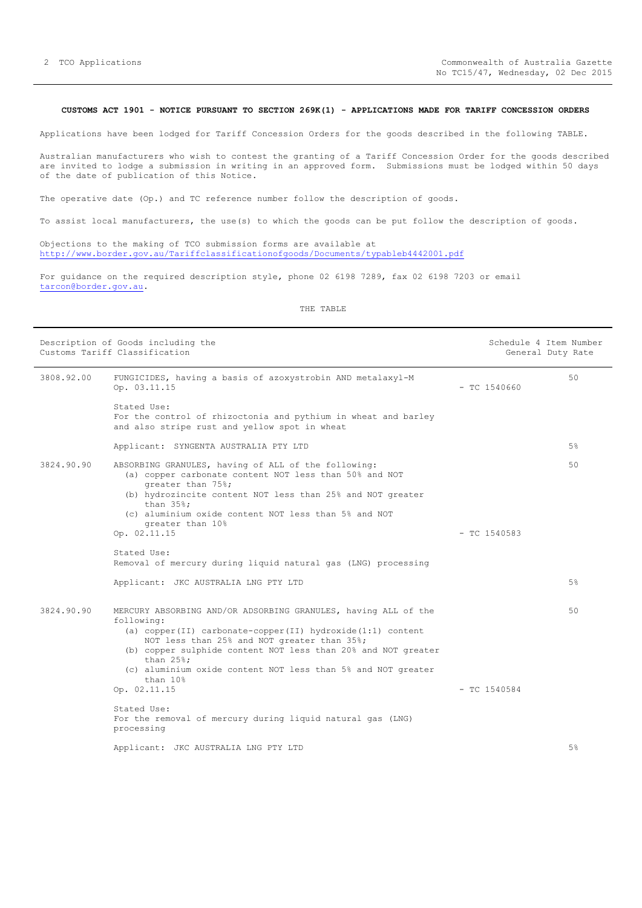## <span id="page-1-0"></span>**CUSTOMS ACT 1901 - NOTICE PURSUANT TO SECTION 269K(1) - APPLICATIONS MADE FOR TARIFF CONCESSION ORDERS**

Applications have been lodged for Tariff Concession Orders for the goods described in the following TABLE.

Australian manufacturers who wish to contest the granting of a Tariff Concession Order for the goods described are invited to lodge a submission in writing in an approved form. Submissions must be lodged within 50 days of the date of publication of this Notice.

The operative date (Op.) and TC reference number follow the description of goods.

To assist local manufacturers, the use(s) to which the goods can be put follow the description of goods.

Objections to the making of TCO submission forms are available at <http://www.border.gov.au/Tariffclassificationofgoods/Documents/typableb4442001.pdf>

For guidance on the required description style, phone 02 6198 7289, fax 02 6198 7203 or email [tarcon@border.gov.au.](mailto:tarcon@border.gov.au)

|            | Description of Goods including the<br>Customs Tariff Classification                                                                                                                                                                                                                                                                                                                                                                                               | Schedule 4 Item Number<br>General Duty Rate |    |  |
|------------|-------------------------------------------------------------------------------------------------------------------------------------------------------------------------------------------------------------------------------------------------------------------------------------------------------------------------------------------------------------------------------------------------------------------------------------------------------------------|---------------------------------------------|----|--|
| 3808.92.00 | FUNGICIDES, having a basis of azoxystrobin AND metalaxyl-M<br>Op. 03.11.15                                                                                                                                                                                                                                                                                                                                                                                        | $-$ TC 1540660                              | 50 |  |
|            | Stated Use:<br>For the control of rhizoctonia and pythium in wheat and barley<br>and also stripe rust and yellow spot in wheat                                                                                                                                                                                                                                                                                                                                    |                                             |    |  |
|            | Applicant: SYNGENTA AUSTRALIA PTY LTD                                                                                                                                                                                                                                                                                                                                                                                                                             |                                             | 5% |  |
| 3824.90.90 | ABSORBING GRANULES, having of ALL of the following:<br>(a) copper carbonate content NOT less than 50% and NOT<br>greater than 75%;<br>(b) hydrozincite content NOT less than 25% and NOT greater<br>than $35\$ ;<br>(c) aluminium oxide content NOT less than 5% and NOT<br>greater than 10%<br>Op. 02.11.15                                                                                                                                                      | $-$ TC 1540583                              | 50 |  |
|            | Stated Use:                                                                                                                                                                                                                                                                                                                                                                                                                                                       |                                             |    |  |
|            | Removal of mercury during liquid natural gas (LNG) processing                                                                                                                                                                                                                                                                                                                                                                                                     |                                             |    |  |
|            | Applicant: JKC AUSTRALIA LNG PTY LTD                                                                                                                                                                                                                                                                                                                                                                                                                              |                                             | 5% |  |
| 3824.90.90 | MERCURY ABSORBING AND/OR ADSORBING GRANULES, having ALL of the<br>following:<br>(a) copper(II) carbonate-copper(II) hydroxide(1:1) content<br>NOT less than 25% and NOT greater than 35%;<br>(b) copper sulphide content NOT less than 20% and NOT greater<br>than $25$ %;<br>(c) aluminium oxide content NOT less than 5% and NOT greater<br>than 10%<br>Op. 02.11.15<br>Stated Use:<br>For the removal of mercury during liquid natural gas (LNG)<br>processing | $-$ TC 1540584                              | 50 |  |
|            | Applicant: JKC AUSTRALIA LNG PTY LTD                                                                                                                                                                                                                                                                                                                                                                                                                              |                                             | 5% |  |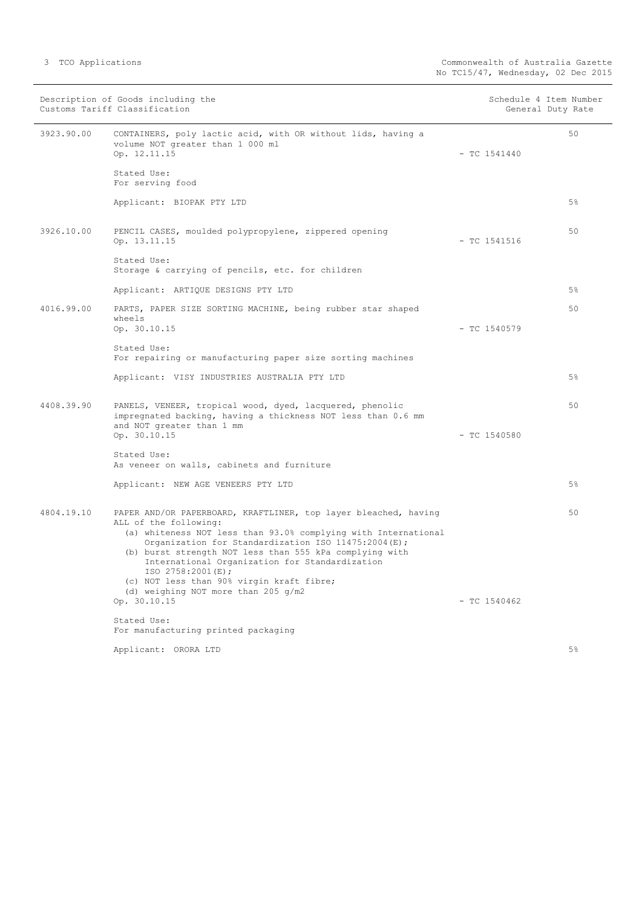|            | Description of Goods including the<br>Customs Tariff Classification                                                                                                                                                                                                                                                                                                                                                                     | Schedule 4 Item Number | General Duty Rate |
|------------|-----------------------------------------------------------------------------------------------------------------------------------------------------------------------------------------------------------------------------------------------------------------------------------------------------------------------------------------------------------------------------------------------------------------------------------------|------------------------|-------------------|
| 3923.90.00 | CONTAINERS, poly lactic acid, with OR without lids, having a<br>volume NOT greater than 1 000 ml<br>Op. 12.11.15                                                                                                                                                                                                                                                                                                                        | $-$ TC 1541440         | 50                |
|            | Stated Use:<br>For serving food                                                                                                                                                                                                                                                                                                                                                                                                         |                        |                   |
|            | Applicant: BIOPAK PTY LTD                                                                                                                                                                                                                                                                                                                                                                                                               |                        | 5%                |
| 3926.10.00 | PENCIL CASES, moulded polypropylene, zippered opening<br>Op. 13.11.15                                                                                                                                                                                                                                                                                                                                                                   | $-$ TC 1541516         | 50                |
|            | Stated Use:<br>Storage & carrying of pencils, etc. for children                                                                                                                                                                                                                                                                                                                                                                         |                        |                   |
|            | Applicant: ARTIQUE DESIGNS PTY LTD                                                                                                                                                                                                                                                                                                                                                                                                      |                        | 5%                |
| 4016.99.00 | PARTS, PAPER SIZE SORTING MACHINE, being rubber star shaped<br>wheels                                                                                                                                                                                                                                                                                                                                                                   |                        | 50                |
|            | Op. 30.10.15<br>Stated Use:<br>For repairing or manufacturing paper size sorting machines                                                                                                                                                                                                                                                                                                                                               | $- TC 1540579$         |                   |
|            | Applicant: VISY INDUSTRIES AUSTRALIA PTY LTD                                                                                                                                                                                                                                                                                                                                                                                            |                        | 5%                |
| 4408.39.90 | PANELS, VENEER, tropical wood, dyed, lacquered, phenolic<br>impregnated backing, having a thickness NOT less than 0.6 mm<br>and NOT greater than 1 mm<br>Op. 30.10.15                                                                                                                                                                                                                                                                   | $-$ TC 1540580         | 50                |
|            | Stated Use:                                                                                                                                                                                                                                                                                                                                                                                                                             |                        |                   |
|            | As veneer on walls, cabinets and furniture                                                                                                                                                                                                                                                                                                                                                                                              |                        |                   |
|            | Applicant: NEW AGE VENEERS PTY LTD                                                                                                                                                                                                                                                                                                                                                                                                      |                        | 5%                |
| 4804.19.10 | PAPER AND/OR PAPERBOARD, KRAFTLINER, top layer bleached, having<br>ALL of the following:<br>(a) whiteness NOT less than 93.0% complying with International<br>Organization for Standardization ISO 11475:2004(E);<br>(b) burst strength NOT less than 555 kPa complying with<br>International Organization for Standardization<br>ISO 2758:2001(E);<br>(c) NOT less than 90% virgin kraft fibre;<br>(d) weighing NOT more than 205 g/m2 |                        | 50                |
|            | Op. 30.10.15                                                                                                                                                                                                                                                                                                                                                                                                                            | $-$ TC 1540462         |                   |
|            | Stated Use:<br>For manufacturing printed packaging                                                                                                                                                                                                                                                                                                                                                                                      |                        |                   |
|            | Applicant: ORORA LTD                                                                                                                                                                                                                                                                                                                                                                                                                    |                        | 5%                |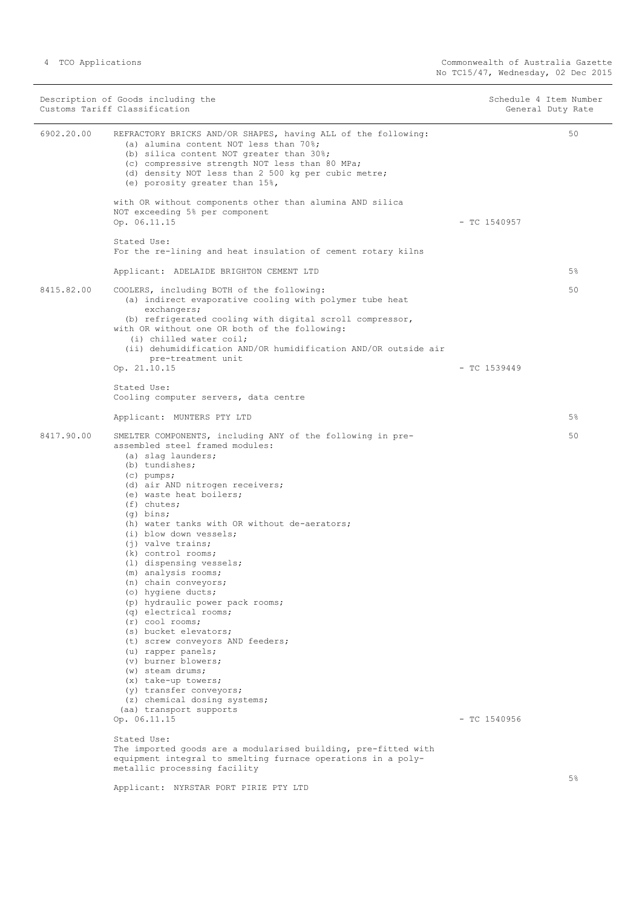|            | Description of Goods including the<br>Customs Tariff Classification                                                                                                                                                                                                                            | Schedule 4 Item Number<br>General Duty Rate |
|------------|------------------------------------------------------------------------------------------------------------------------------------------------------------------------------------------------------------------------------------------------------------------------------------------------|---------------------------------------------|
| 6902.20.00 | REFRACTORY BRICKS AND/OR SHAPES, having ALL of the following:<br>(a) alumina content NOT less than 70%;<br>(b) silica content NOT greater than 30%;<br>(c) compressive strength NOT less than 80 MPa;<br>(d) density NOT less than 2 500 kg per cubic metre;<br>(e) porosity greater than 15%, | 50                                          |
|            | with OR without components other than alumina AND silica<br>NOT exceeding 5% per component                                                                                                                                                                                                     |                                             |
|            | Op. 06.11.15                                                                                                                                                                                                                                                                                   | $-$ TC 1540957                              |
|            | Stated Use:<br>For the re-lining and heat insulation of cement rotary kilns                                                                                                                                                                                                                    |                                             |
|            | Applicant: ADELAIDE BRIGHTON CEMENT LTD                                                                                                                                                                                                                                                        | 5%                                          |
| 8415.82.00 | COOLERS, including BOTH of the following:<br>(a) indirect evaporative cooling with polymer tube heat<br>exchangers;                                                                                                                                                                            | 50                                          |
|            | (b) refrigerated cooling with digital scroll compressor,<br>with OR without one OR both of the following:<br>(i) chilled water coil;                                                                                                                                                           |                                             |
|            | (ii) dehumidification AND/OR humidification AND/OR outside air<br>pre-treatment unit                                                                                                                                                                                                           |                                             |
|            | Op. 21.10.15                                                                                                                                                                                                                                                                                   | $-$ TC 1539449                              |
|            | Stated Use:<br>Cooling computer servers, data centre                                                                                                                                                                                                                                           |                                             |
|            | Applicant: MUNTERS PTY LTD                                                                                                                                                                                                                                                                     | 5%                                          |
| 8417.90.00 | SMELTER COMPONENTS, including ANY of the following in pre-<br>assembled steel framed modules:<br>(a) slag launders;                                                                                                                                                                            | 50                                          |
|            | (b) tundishes;<br>$(c)$ pumps;                                                                                                                                                                                                                                                                 |                                             |
|            | (d) air AND nitrogen receivers;                                                                                                                                                                                                                                                                |                                             |
|            | (e) waste heat boilers;<br>$(f)$ chutes;                                                                                                                                                                                                                                                       |                                             |
|            | $(q)$ bins;<br>(h) water tanks with OR without de-aerators;                                                                                                                                                                                                                                    |                                             |
|            | (i) blow down vessels;                                                                                                                                                                                                                                                                         |                                             |
|            | (i) valve trains;<br>(k) control rooms;                                                                                                                                                                                                                                                        |                                             |
|            | (1) dispensing vessels;                                                                                                                                                                                                                                                                        |                                             |
|            | (m) analysis rooms;<br>(n) chain conveyors;                                                                                                                                                                                                                                                    |                                             |
|            | (o) hygiene ducts;                                                                                                                                                                                                                                                                             |                                             |
|            | (p) hydraulic power pack rooms;<br>(q) electrical rooms;                                                                                                                                                                                                                                       |                                             |
|            | $(r)$ cool rooms;                                                                                                                                                                                                                                                                              |                                             |
|            | (s) bucket elevators;                                                                                                                                                                                                                                                                          |                                             |
|            | (t) screw conveyors AND feeders;<br>(u) rapper panels;                                                                                                                                                                                                                                         |                                             |
|            | (v) burner blowers;                                                                                                                                                                                                                                                                            |                                             |
|            | (w) steam drums;                                                                                                                                                                                                                                                                               |                                             |
|            | $(x)$ take-up towers;<br>(y) transfer conveyors;                                                                                                                                                                                                                                               |                                             |
|            | (z) chemical dosing systems;                                                                                                                                                                                                                                                                   |                                             |
|            | (aa) transport supports<br>Op. 06.11.15                                                                                                                                                                                                                                                        | $-$ TC 1540956                              |
|            | Stated Use:                                                                                                                                                                                                                                                                                    |                                             |
|            | The imported goods are a modularised building, pre-fitted with<br>equipment integral to smelting furnace operations in a poly-                                                                                                                                                                 |                                             |
|            | metallic processing facility                                                                                                                                                                                                                                                                   |                                             |
|            | Applicant: NYRSTAR PORT PIRIE PTY LTD                                                                                                                                                                                                                                                          | 5%                                          |
|            |                                                                                                                                                                                                                                                                                                |                                             |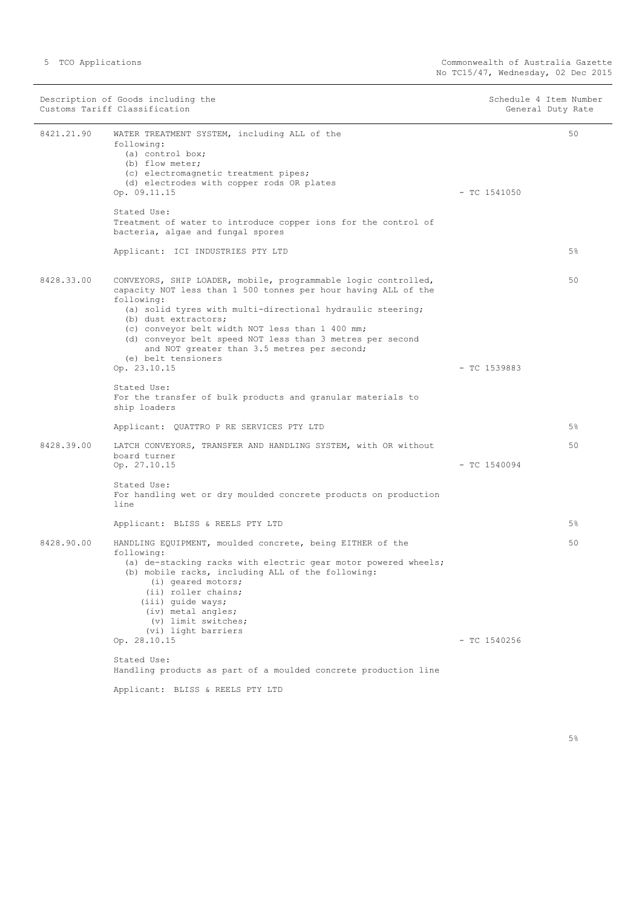| Description of Goods including the<br>Customs Tariff Classification |                                                                                                                                                                                                                                                                                                                                                                                                                                            | Schedule 4 Item Number<br>General Duty Rate |
|---------------------------------------------------------------------|--------------------------------------------------------------------------------------------------------------------------------------------------------------------------------------------------------------------------------------------------------------------------------------------------------------------------------------------------------------------------------------------------------------------------------------------|---------------------------------------------|
| 8421.21.90                                                          | WATER TREATMENT SYSTEM, including ALL of the<br>following:<br>(a) control box;<br>(b) flow meter;<br>(c) electromagnetic treatment pipes;<br>(d) electrodes with copper rods OR plates<br>Op. 09.11.15                                                                                                                                                                                                                                     | 50<br>$-$ TC 1541050                        |
|                                                                     | Stated Use:<br>Treatment of water to introduce copper ions for the control of<br>bacteria, algae and fungal spores                                                                                                                                                                                                                                                                                                                         |                                             |
|                                                                     | Applicant: ICI INDUSTRIES PTY LTD                                                                                                                                                                                                                                                                                                                                                                                                          | 5%                                          |
| 8428.33.00                                                          | CONVEYORS, SHIP LOADER, mobile, programmable logic controlled,<br>capacity NOT less than 1 500 tonnes per hour having ALL of the<br>following:<br>(a) solid tyres with multi-directional hydraulic steering;<br>(b) dust extractors;<br>(c) conveyor belt width NOT less than 1 400 mm;<br>(d) conveyor belt speed NOT less than 3 metres per second<br>and NOT greater than 3.5 metres per second;<br>(e) belt tensioners<br>Op. 23.10.15 | 50<br>$-$ TC 1539883                        |
|                                                                     | Stated Use:                                                                                                                                                                                                                                                                                                                                                                                                                                |                                             |
|                                                                     | For the transfer of bulk products and granular materials to<br>ship loaders                                                                                                                                                                                                                                                                                                                                                                |                                             |
|                                                                     | Applicant: QUATTRO P RE SERVICES PTY LTD                                                                                                                                                                                                                                                                                                                                                                                                   | 5%                                          |
| 8428.39.00                                                          | LATCH CONVEYORS, TRANSFER AND HANDLING SYSTEM, with OR without<br>board turner<br>Op. 27.10.15                                                                                                                                                                                                                                                                                                                                             | 50<br>$-$ TC 1540094                        |
|                                                                     | Stated Use:<br>For handling wet or dry moulded concrete products on production<br>line                                                                                                                                                                                                                                                                                                                                                     |                                             |
|                                                                     | Applicant: BLISS & REELS PTY LTD                                                                                                                                                                                                                                                                                                                                                                                                           | 5%                                          |
| 8428.90.00                                                          | HANDLING EQUIPMENT, moulded concrete, being EITHER of the<br>following:<br>(a) de-stacking racks with electric gear motor powered wheels;<br>(b) mobile racks, including ALL of the following:<br>(i) geared motors;<br>(ii) roller chains;<br>(iii) quide ways;<br>(iv) metal angles;<br>(v) limit switches;<br>(vi) light barriers                                                                                                       | 50                                          |
|                                                                     | Op. 28.10.15                                                                                                                                                                                                                                                                                                                                                                                                                               | $-$ TC 1540256                              |
|                                                                     | Stated Use:<br>Handling products as part of a moulded concrete production line                                                                                                                                                                                                                                                                                                                                                             |                                             |
|                                                                     | Applicant: BLISS & REELS PTY LTD                                                                                                                                                                                                                                                                                                                                                                                                           |                                             |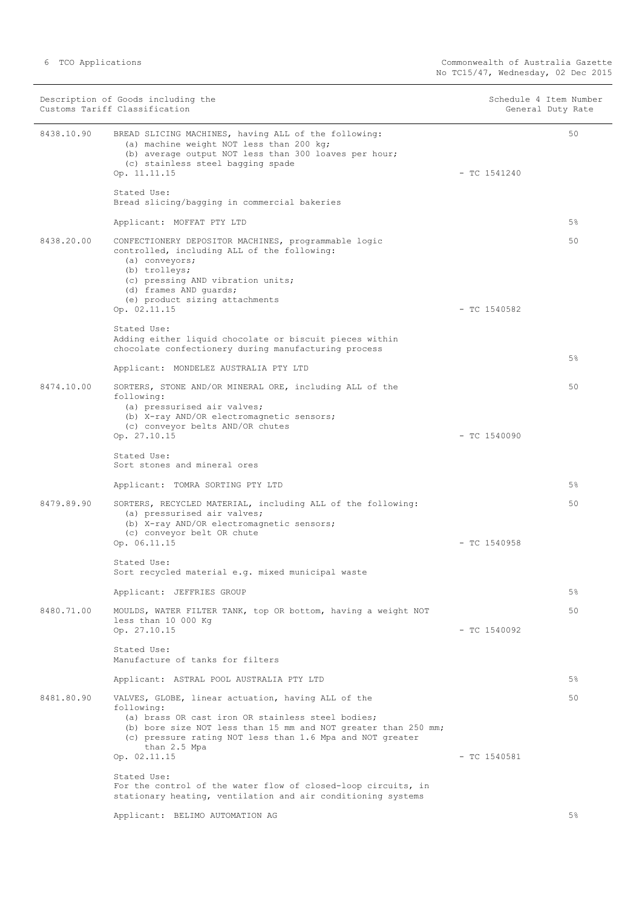|            | Description of Goods including the<br>Customs Tariff Classification                                                                                                                                                                                                  | Schedule 4 Item Number<br>General Duty Rate |    |
|------------|----------------------------------------------------------------------------------------------------------------------------------------------------------------------------------------------------------------------------------------------------------------------|---------------------------------------------|----|
| 8438.10.90 | BREAD SLICING MACHINES, having ALL of the following:<br>(a) machine weight NOT less than 200 kg;<br>(b) average output NOT less than 300 loaves per hour;<br>(c) stainless steel bagging spade<br>Op. 11.11.15                                                       | $-$ TC 1541240                              | 50 |
|            | Stated Use:<br>Bread slicing/bagging in commercial bakeries                                                                                                                                                                                                          |                                             |    |
|            | Applicant: MOFFAT PTY LTD                                                                                                                                                                                                                                            |                                             | 5% |
| 8438.20.00 | CONFECTIONERY DEPOSITOR MACHINES, programmable logic<br>controlled, including ALL of the following:<br>(a) conveyors;<br>(b) trolleys;<br>(c) pressing AND vibration units;<br>(d) frames AND quards;<br>(e) product sizing attachments<br>Op. 02.11.15              | $-$ TC 1540582                              | 50 |
|            | Stated Use:                                                                                                                                                                                                                                                          |                                             |    |
|            | Adding either liquid chocolate or biscuit pieces within<br>chocolate confectionery during manufacturing process                                                                                                                                                      |                                             |    |
|            | Applicant: MONDELEZ AUSTRALIA PTY LTD                                                                                                                                                                                                                                |                                             | 5% |
| 8474.10.00 | SORTERS, STONE AND/OR MINERAL ORE, including ALL of the<br>following:<br>(a) pressurised air valves;<br>(b) X-ray AND/OR electromagnetic sensors;<br>(c) conveyor belts AND/OR chutes                                                                                |                                             | 50 |
|            | Op. 27.10.15                                                                                                                                                                                                                                                         | $-$ TC 1540090                              |    |
|            | Stated Use:<br>Sort stones and mineral ores                                                                                                                                                                                                                          |                                             |    |
|            | Applicant: TOMRA SORTING PTY LTD                                                                                                                                                                                                                                     |                                             | 5% |
| 8479.89.90 | SORTERS, RECYCLED MATERIAL, including ALL of the following:<br>(a) pressurised air valves;<br>(b) X-ray AND/OR electromagnetic sensors;<br>(c) conveyor belt OR chute<br>Op. 06.11.15                                                                                | $-$ TC 1540958                              | 50 |
|            | Stated Use:                                                                                                                                                                                                                                                          |                                             |    |
|            | Sort recycled material e.g. mixed municipal waste                                                                                                                                                                                                                    |                                             |    |
|            | Applicant: JEFFRIES GROUP                                                                                                                                                                                                                                            |                                             | 5% |
| 8480.71.00 | MOULDS, WATER FILTER TANK, top OR bottom, having a weight NOT<br>less than 10 000 Kg                                                                                                                                                                                 |                                             | 50 |
|            | Op. 27.10.15                                                                                                                                                                                                                                                         | $-$ TC 1540092                              |    |
|            | Stated Use:<br>Manufacture of tanks for filters                                                                                                                                                                                                                      |                                             |    |
|            | Applicant: ASTRAL POOL AUSTRALIA PTY LTD                                                                                                                                                                                                                             |                                             | 5% |
| 8481.80.90 | VALVES, GLOBE, linear actuation, having ALL of the<br>following:<br>(a) brass OR cast iron OR stainless steel bodies;<br>(b) bore size NOT less than 15 mm and NOT greater than 250 mm;<br>(c) pressure rating NOT less than 1.6 Mpa and NOT greater<br>than 2.5 Mpa | $-$ TC 1540581                              | 50 |
|            | Op. 02.11.15<br>Stated Use:<br>For the control of the water flow of closed-loop circuits, in<br>stationary heating, ventilation and air conditioning systems                                                                                                         |                                             |    |

Applicant: BELIMO AUTOMATION AG

5%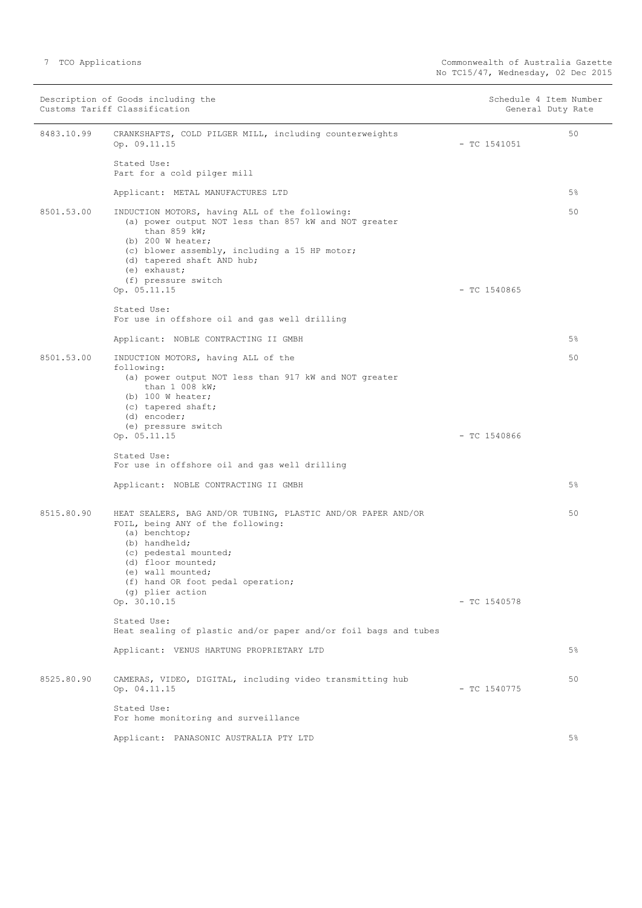|            | Description of Goods including the<br>Customs Tariff Classification                                                                                                                                                                                                                    |                | Schedule 4 Item Number<br>General Duty Rate |
|------------|----------------------------------------------------------------------------------------------------------------------------------------------------------------------------------------------------------------------------------------------------------------------------------------|----------------|---------------------------------------------|
| 8483.10.99 | CRANKSHAFTS, COLD PILGER MILL, including counterweights<br>Op. 09.11.15                                                                                                                                                                                                                | $-$ TC 1541051 | 50                                          |
|            | Stated Use:<br>Part for a cold pilger mill                                                                                                                                                                                                                                             |                |                                             |
|            | Applicant: METAL MANUFACTURES LTD                                                                                                                                                                                                                                                      |                | $5\%$                                       |
| 8501.53.00 | INDUCTION MOTORS, having ALL of the following:<br>(a) power output NOT less than 857 kW and NOT greater<br>than $859$ kW;<br>(b) $200$ W heater;<br>(c) blower assembly, including a 15 HP motor;<br>(d) tapered shaft AND hub;<br>(e) exhaust;<br>(f) pressure switch<br>Op. 05.11.15 | $-$ TC 1540865 | 50                                          |
|            | Stated Use:<br>For use in offshore oil and gas well drilling                                                                                                                                                                                                                           |                |                                             |
|            |                                                                                                                                                                                                                                                                                        |                |                                             |
|            | Applicant: NOBLE CONTRACTING II GMBH                                                                                                                                                                                                                                                   |                | 5%                                          |
| 8501.53.00 | INDUCTION MOTORS, having ALL of the<br>following:<br>(a) power output NOT less than 917 kW and NOT greater<br>than 1 008 kW;<br>(b) $100$ W heater;<br>(c) tapered shaft;<br>(d) encoder;                                                                                              |                | 50                                          |
|            | (e) pressure switch<br>Op. 05.11.15                                                                                                                                                                                                                                                    | $-$ TC 1540866 |                                             |
|            | Stated Use:<br>For use in offshore oil and gas well drilling                                                                                                                                                                                                                           |                |                                             |
|            | Applicant: NOBLE CONTRACTING II GMBH                                                                                                                                                                                                                                                   |                | $5\%$                                       |
| 8515.80.90 | HEAT SEALERS, BAG AND/OR TUBING, PLASTIC AND/OR PAPER AND/OR<br>FOIL, being ANY of the following:<br>(a) benchtop;<br>(b) handheld;<br>(c) pedestal mounted;<br>(d) floor mounted;<br>(e) wall mounted;<br>(f) hand OR foot pedal operation;<br>(g) plier action                       |                | 50                                          |
|            | Op. 30.10.15                                                                                                                                                                                                                                                                           | $-$ TC 1540578 |                                             |
|            | Stated Use:<br>Heat sealing of plastic and/or paper and/or foil bags and tubes                                                                                                                                                                                                         |                |                                             |
|            | Applicant: VENUS HARTUNG PROPRIETARY LTD                                                                                                                                                                                                                                               |                | $5\%$                                       |
| 8525.80.90 | CAMERAS, VIDEO, DIGITAL, including video transmitting hub<br>Op. 04.11.15                                                                                                                                                                                                              | $-$ TC 1540775 | 50                                          |
|            | Stated Use:<br>For home monitoring and surveillance                                                                                                                                                                                                                                    |                |                                             |
|            | Applicant: PANASONIC AUSTRALIA PTY LTD                                                                                                                                                                                                                                                 |                | 5%                                          |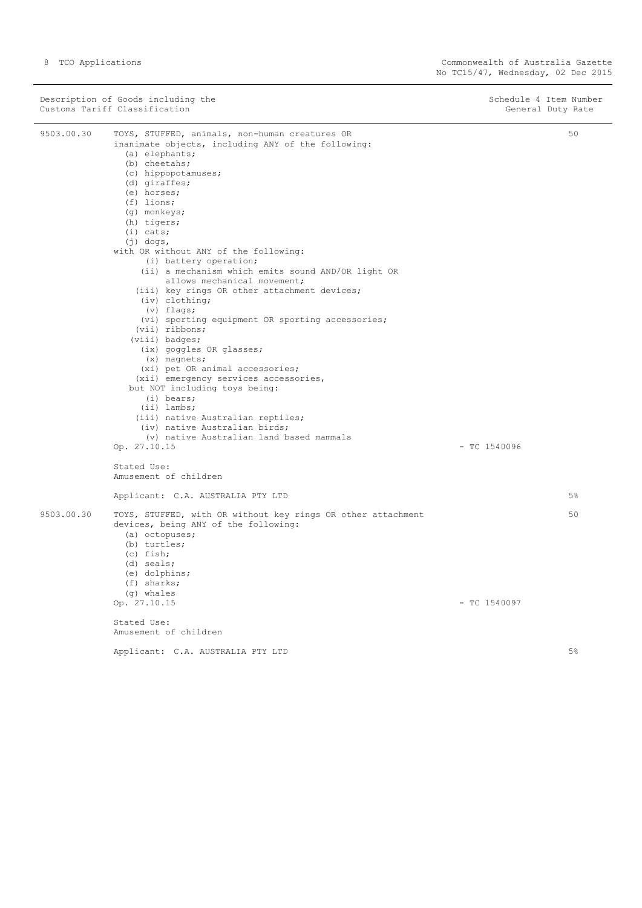Description of Goods including the Schedule 4 Item Number<br>
Customs Tariff Classification (Seneral Duty Rate ) and Schedule 4 Item Number<br>
Customs Tariff Classification Customs Tariff Classification

9503.00.30 TOYS, STUFFED, animals, non-human creatures OR inanimate objects, including ANY of the following: (a) elephants; (b) cheetahs; (c) hippopotamuses; (d) giraffes; (e) horses; (f) lions; (g) monkeys; (h) tigers; (i) cats; (j) dogs, with OR without ANY of the following: (i) battery operation; (ii) a mechanism which emits sound AND/OR light OR allows mechanical movement; (iii) key rings OR other attachment devices; (iv) clothing; (v) flags; (vi) sporting equipment OR sporting accessories; (vii) ribbons; (viii) badges; (ix) goggles OR glasses; (x) magnets; (xi) pet OR animal accessories; (xii) emergency services accessories, but NOT including toys being: (i) bears; (ii) lambs; (iii) native Australian reptiles; (iv) native Australian birds; (v) native Australian land based mammals Op. 27.10.15 - TC 1540096 Stated Use: Amusement of children Applicant: C.A. AUSTRALIA PTY LTD 50 5% 9503.00.30 TOYS, STUFFED, with OR without key rings OR other attachment devices, being ANY of the following: (a) octopuses; (b) turtles; (c) fish; (d) seals; (e) dolphins; (f) sharks; (g) whales<br>Op.  $27.10.15$  $-$  TC 1540097 Stated Use: Amusement of children Applicant: C.A. AUSTRALIA PTY LTD 50 5%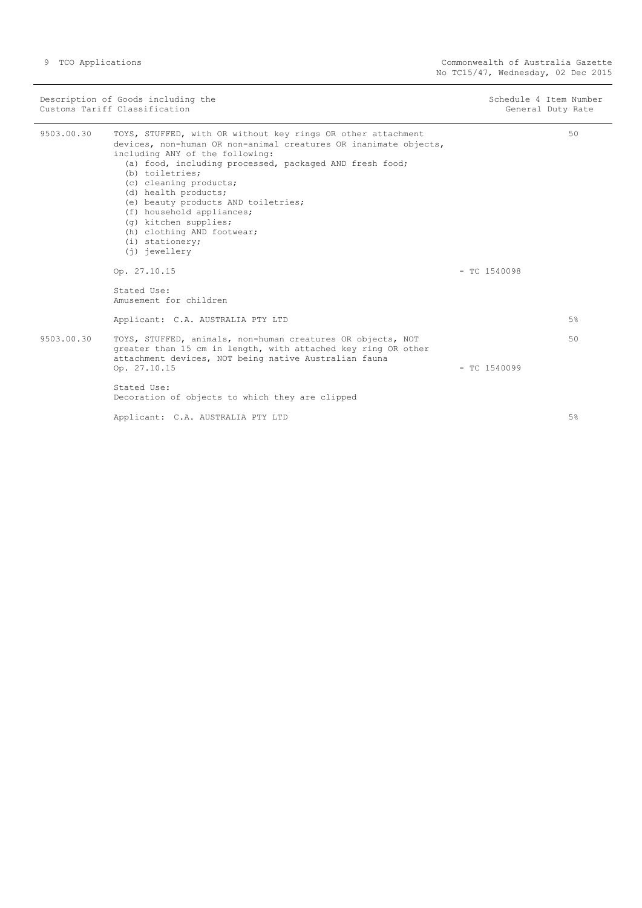|            | Description of Goods including the<br>Customs Tariff Classification                                                                                                                                                                                                                                                                                                                                                                                                  | Schedule 4 Item Number<br>General Duty Rate |  |
|------------|----------------------------------------------------------------------------------------------------------------------------------------------------------------------------------------------------------------------------------------------------------------------------------------------------------------------------------------------------------------------------------------------------------------------------------------------------------------------|---------------------------------------------|--|
| 9503.00.30 | TOYS, STUFFED, with OR without key rings OR other attachment<br>devices, non-human OR non-animal creatures OR inanimate objects,<br>including ANY of the following:<br>(a) food, including processed, packaged AND fresh food;<br>(b) toiletries;<br>(c) cleaning products;<br>(d) health products;<br>(e) beauty products AND toiletries;<br>(f) household appliances;<br>(q) kitchen supplies;<br>(h) clothing AND footwear;<br>$(i)$ stationery;<br>(i) jewellery | 50                                          |  |
|            | Op. 27.10.15                                                                                                                                                                                                                                                                                                                                                                                                                                                         | $-$ TC 1540098                              |  |
|            | Stated Use:<br>Amusement for children                                                                                                                                                                                                                                                                                                                                                                                                                                |                                             |  |
|            | Applicant: C.A. AUSTRALIA PTY LTD                                                                                                                                                                                                                                                                                                                                                                                                                                    | 5%                                          |  |
| 9503.00.30 | TOYS, STUFFED, animals, non-human creatures OR objects, NOT<br>greater than 15 cm in length, with attached key ring OR other<br>attachment devices, NOT being native Australian fauna<br>Op. 27.10.15                                                                                                                                                                                                                                                                | 50<br>$-$ TC 1540099                        |  |
|            | Stated Use:<br>Decoration of objects to which they are clipped                                                                                                                                                                                                                                                                                                                                                                                                       |                                             |  |
|            | Applicant: C.A. AUSTRALIA PTY LTD                                                                                                                                                                                                                                                                                                                                                                                                                                    | 5%                                          |  |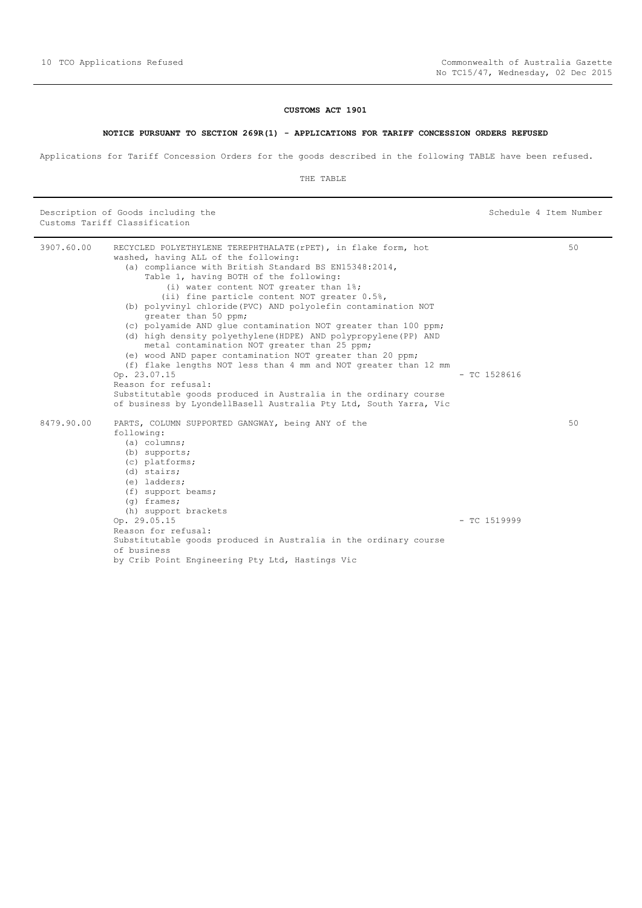Schedule 4 Item Number

# **CUSTOMS ACT 1901**

## **NOTICE PURSUANT TO SECTION 269R(1) - APPLICATIONS FOR TARIFF CONCESSION ORDERS REFUSED**

<span id="page-9-0"></span>Applications for Tariff Concession Orders for the goods described in the following TABLE have been refused.

|  |  | Description of Goods including the |  |
|--|--|------------------------------------|--|
|  |  | Customs Tariff Classification      |  |

| 3907.60.00 | RECYCLED POLYETHYLENE TEREPHTHALATE (rPET), in flake form, hot<br>washed, having ALL of the following: |                | 50 |
|------------|--------------------------------------------------------------------------------------------------------|----------------|----|
|            | (a) compliance with British Standard BS EN15348:2014,                                                  |                |    |
|            | Table 1, having BOTH of the following:                                                                 |                |    |
|            | (i) water content NOT greater than 1%;                                                                 |                |    |
|            | (ii) fine particle content NOT greater 0.5%,                                                           |                |    |
|            | (b) polyvinyl chloride (PVC) AND polyolefin contamination NOT                                          |                |    |
|            | greater than 50 ppm;                                                                                   |                |    |
|            | (c) polyamide AND glue contamination NOT greater than 100 ppm;                                         |                |    |
|            | (d) high density polyethylene (HDPE) AND polypropylene (PP) AND                                        |                |    |
|            | metal contamination NOT greater than 25 ppm;                                                           |                |    |
|            | (e) wood AND paper contamination NOT greater than 20 ppm;                                              |                |    |
|            | (f) flake lengths NOT less than 4 mm and NOT greater than 12 mm                                        |                |    |
|            | Op. 23.07.15                                                                                           | $-$ TC 1528616 |    |
|            | Reason for refusal:                                                                                    |                |    |
|            | Substitutable goods produced in Australia in the ordinary course                                       |                |    |
|            | of business by LyondellBasell Australia Pty Ltd, South Yarra, Vic                                      |                |    |
| 8479.90.00 | PARTS, COLUMN SUPPORTED GANGWAY, being ANY of the                                                      |                | 50 |
|            | following:                                                                                             |                |    |
|            | $(a)$ columns;                                                                                         |                |    |
|            | $(b)$ supports;                                                                                        |                |    |
|            | (c) platforms;                                                                                         |                |    |
|            | (d) stairs;                                                                                            |                |    |
|            | $(e)$ ladders;                                                                                         |                |    |
|            | (f) support beams;                                                                                     |                |    |
|            | $(q)$ frames;                                                                                          |                |    |
|            | (h) support brackets                                                                                   |                |    |
|            | Op. 29.05.15                                                                                           | $-$ TC 1519999 |    |
|            | Reason for refusal:                                                                                    |                |    |
|            | Substitutable goods produced in Australia in the ordinary course<br>of business                        |                |    |
|            | by Crib Point Engineering Pty Ltd, Hastings Vic                                                        |                |    |
|            |                                                                                                        |                |    |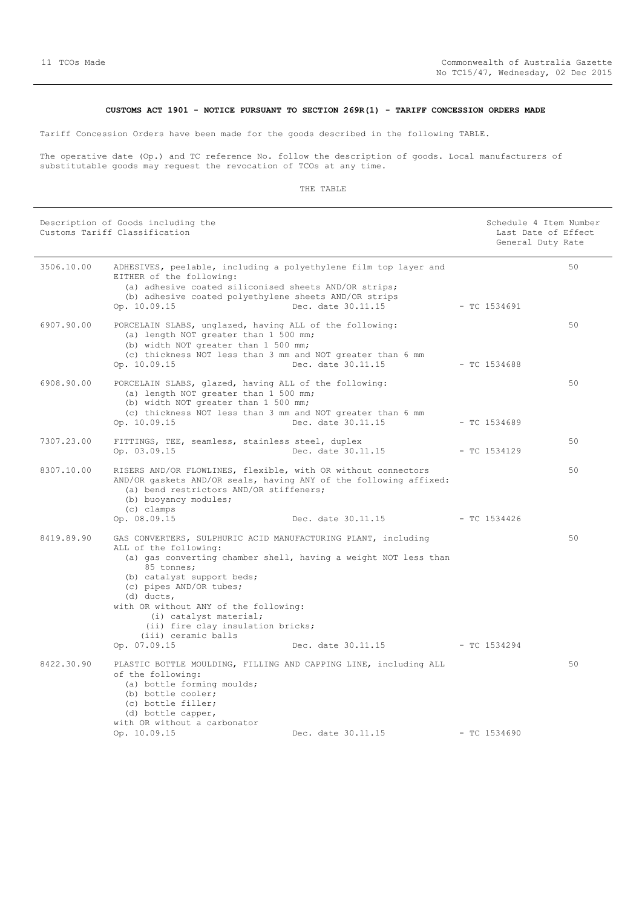## **CUSTOMS ACT 1901 - NOTICE PURSUANT TO SECTION 269R(1) - TARIFF CONCESSION ORDERS MADE**

<span id="page-10-0"></span>Tariff Concession Orders have been made for the goods described in the following TABLE.

The operative date (Op.) and TC reference No. follow the description of goods. Local manufacturers of substitutable goods may request the revocation of TCOs at any time.

| Description of Goods including the<br>Customs Tariff Classification |                                                                                                                                                                                                                                                                                                                              | Schedule 4 Item Number<br>Last Date of Effect<br>General Duty Rate                                 |                |  |    |
|---------------------------------------------------------------------|------------------------------------------------------------------------------------------------------------------------------------------------------------------------------------------------------------------------------------------------------------------------------------------------------------------------------|----------------------------------------------------------------------------------------------------|----------------|--|----|
| 3506.10.00                                                          | ADHESIVES, peelable, including a polyethylene film top layer and<br>EITHER of the following:<br>(a) adhesive coated siliconised sheets AND/OR strips;<br>(b) adhesive coated polyethylene sheets AND/OR strips<br>Op. 10.09.15                                                                                               | Dec. date 30.11.15                                                                                 | $-$ TC 1534691 |  | 50 |
| 6907.90.00                                                          | PORCELAIN SLABS, unglazed, having ALL of the following:<br>(a) length NOT greater than 1 500 mm;<br>(b) width NOT greater than 1 500 mm;<br>(c) thickness NOT less than 3 mm and NOT greater than 6 mm<br>Op. 10.09.15                                                                                                       | Dec. date 30.11.15                                                                                 | - TC 1534688   |  | 50 |
| 6908.90.00                                                          | PORCELAIN SLABS, glazed, having ALL of the following:<br>(a) length NOT greater than 1 500 mm;<br>(b) width NOT greater than 1 500 mm;<br>(c) thickness NOT less than 3 mm and NOT greater than 6 mm<br>Op. 10.09.15                                                                                                         | Dec. date 30.11.15                                                                                 | - TC 1534689   |  | 50 |
| 7307.23.00                                                          | FITTINGS, TEE, seamless, stainless steel, duplex<br>Op. 03.09.15                                                                                                                                                                                                                                                             | Dec. date 30.11.15                                                                                 | - TC 1534129   |  | 50 |
| 8307.10.00                                                          | RISERS AND/OR FLOWLINES, flexible, with OR without connectors<br>AND/OR qaskets AND/OR seals, having ANY of the following affixed:<br>(a) bend restrictors AND/OR stiffeners;<br>(b) buoyancy modules;<br>(c) clamps<br>Op. 08.09.15                                                                                         | Dec. date 30.11.15 - TC 1534426                                                                    |                |  | 50 |
| 8419.89.90                                                          | GAS CONVERTERS, SULPHURIC ACID MANUFACTURING PLANT, including<br>ALL of the following:<br>85 tonnes;<br>(b) catalyst support beds;<br>(c) pipes AND/OR tubes;<br>$(d)$ ducts,<br>with OR without ANY of the following:<br>(i) catalyst material;<br>(ii) fire clay insulation bricks;<br>(iii) ceramic balls<br>Op. 07.09.15 | (a) gas converting chamber shell, having a weight NOT less than<br>Dec. date 30.11.15 - TC 1534294 |                |  | 50 |
| 8422.30.90                                                          | PLASTIC BOTTLE MOULDING, FILLING AND CAPPING LINE, including ALL<br>of the following:<br>(a) bottle forming moulds;<br>(b) bottle cooler;<br>(c) bottle filler;<br>(d) bottle capper,<br>with OR without a carbonator<br>Op. 10.09.15                                                                                        | Dec. date 30.11.15                                                                                 | - TC 1534690   |  | 50 |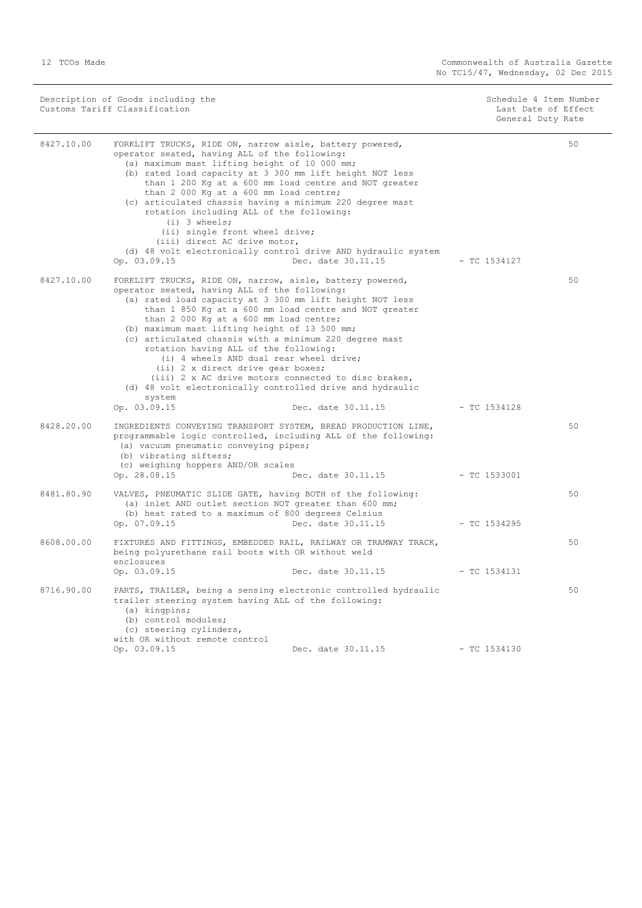| Description of Goods including the<br>Customs Tariff Classification |                                                                                                                                                                                                                                                                                                                                                                                                                                                                                                                                                                                                                                                             | Schedule 4 Item Number<br>Last Date of Effect<br>General Duty Rate |                |    |
|---------------------------------------------------------------------|-------------------------------------------------------------------------------------------------------------------------------------------------------------------------------------------------------------------------------------------------------------------------------------------------------------------------------------------------------------------------------------------------------------------------------------------------------------------------------------------------------------------------------------------------------------------------------------------------------------------------------------------------------------|--------------------------------------------------------------------|----------------|----|
| 8427.10.00                                                          | FORKLIFT TRUCKS, RIDE ON, narrow aisle, battery powered,<br>operator seated, having ALL of the following:<br>(a) maximum mast lifting height of 10 000 mm;<br>(b) rated load capacity at 3 300 mm lift height NOT less<br>than 1 200 Kg at a 600 mm load centre and NOT greater<br>than 2 000 Kg at a 600 mm load centre;<br>(c) articulated chassis having a minimum 220 degree mast<br>rotation including ALL of the following:<br>$(i)$ 3 wheels:<br>(ii) single front wheel drive;<br>(iii) direct AC drive motor,<br>(d) 48 volt electronically control drive AND hydraulic system<br>Op. 03.09.15                                                     | Dec. date 30.11.15                                                 | $-$ TC 1534127 | 50 |
| 8427.10.00                                                          | FORKLIFT TRUCKS, RIDE ON, narrow, aisle, battery powered,<br>operator seated, having ALL of the following:<br>(a) rated load capacity at 3 300 mm lift height NOT less<br>than 1 850 Kg at a 600 mm load centre and NOT greater<br>than 2 000 Kg at a 600 mm load centre;<br>(b) maximum mast lifting height of 13 500 mm;<br>(c) articulated chassis with a minimum 220 degree mast<br>rotation having ALL of the following:<br>(i) 4 wheels AND dual rear wheel drive;<br>(ii) 2 x direct drive gear boxes;<br>(iii) 2 x AC drive motors connected to disc brakes,<br>(d) 48 volt electronically controlled drive and hydraulic<br>system<br>Op. 03.09.15 | Dec. date 30.11.15                                                 | $-$ TC 1534128 | 50 |
| 8428.20.00                                                          | INGREDIENTS CONVEYING TRANSPORT SYSTEM, BREAD PRODUCTION LINE,<br>programmable logic controlled, including ALL of the following:<br>(a) vacuum pneumatic conveying pipes;<br>(b) vibrating sifters;<br>(c) weighing hoppers AND/OR scales<br>Op. 28.08.15                                                                                                                                                                                                                                                                                                                                                                                                   | Dec. date 30.11.15                                                 | $-$ TC 1533001 | 50 |
| 8481.80.90                                                          | VALVES, PNEUMATIC SLIDE GATE, having BOTH of the following:<br>(a) inlet AND outlet section NOT greater than 600 mm;<br>(b) heat rated to a maximum of 800 degrees Celsius<br>Op. 07.09.15                                                                                                                                                                                                                                                                                                                                                                                                                                                                  | Dec. date 30.11.15                                                 | - TC 1534295   | 50 |
| 8608.00.00                                                          | FIXTURES AND FITTINGS, EMBEDDED RAIL, RAILWAY OR TRAMWAY TRACK,<br>being polyurethane rail boots with OR without weld<br>enclosures<br>Op. 03.09.15                                                                                                                                                                                                                                                                                                                                                                                                                                                                                                         | Dec. date 30.11.15                                                 | $-TC$ 1534131  | 50 |
| 8716.90.00                                                          | PARTS, TRAILER, being a sensing electronic controlled hydraulic<br>trailer steering system having ALL of the following:<br>$(a)$ kingpins;<br>(b) control modules;<br>(c) steering cylinders,<br>with OR without remote control<br>Op. 03.09.15                                                                                                                                                                                                                                                                                                                                                                                                             | Dec. date 30.11.15                                                 | $-$ TC 1534130 | 50 |
|                                                                     |                                                                                                                                                                                                                                                                                                                                                                                                                                                                                                                                                                                                                                                             |                                                                    |                |    |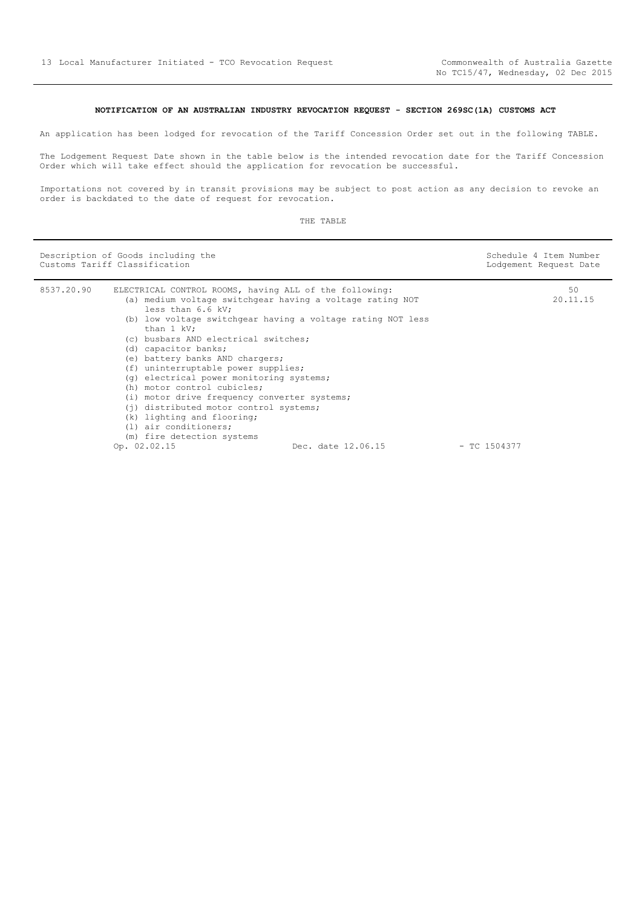# **NOTIFICATION OF AN AUSTRALIAN INDUSTRY REVOCATION REQUEST - SECTION 269SC(1A) CUSTOMS ACT**

<span id="page-12-0"></span>An application has been lodged for revocation of the Tariff Concession Order set out in the following TABLE.

The Lodgement Request Date shown in the table below is the intended revocation date for the Tariff Concession Order which will take effect should the application for revocation be successful.

Importations not covered by in transit provisions may be subject to post action as any decision to revoke an order is backdated to the date of request for revocation.

| Description of Goods including the<br>Customs Tariff Classification |                                                                                                                                                                                                                                                                                                                                                                                                                                                                                                                                                                              |                                                                                   | Schedule 4 Item Number<br>Lodgement Request Date |
|---------------------------------------------------------------------|------------------------------------------------------------------------------------------------------------------------------------------------------------------------------------------------------------------------------------------------------------------------------------------------------------------------------------------------------------------------------------------------------------------------------------------------------------------------------------------------------------------------------------------------------------------------------|-----------------------------------------------------------------------------------|--------------------------------------------------|
| 8537.20.90                                                          | ELECTRICAL CONTROL ROOMS, having ALL of the following:<br>(a) medium voltage switchgear having a voltage rating NOT<br>less than 6.6 kV;<br>than 1 kV:<br>(c) busbars AND electrical switches;<br>(d) capacitor banks;<br>(e) battery banks AND chargers;<br>(f) uninterruptable power supplies;<br>(q) electrical power monitoring systems;<br>(h) motor control cubicles;<br>(i) motor drive frequency converter systems;<br>(j) distributed motor control systems;<br>(k) lighting and flooring;<br>$(1)$ air conditioners;<br>(m) fire detection systems<br>Op. 02.02.15 | (b) low voltage switchgear having a voltage rating NOT less<br>Dec. date 12.06.15 | 50<br>20.11.15<br>$-$ TC 1504377                 |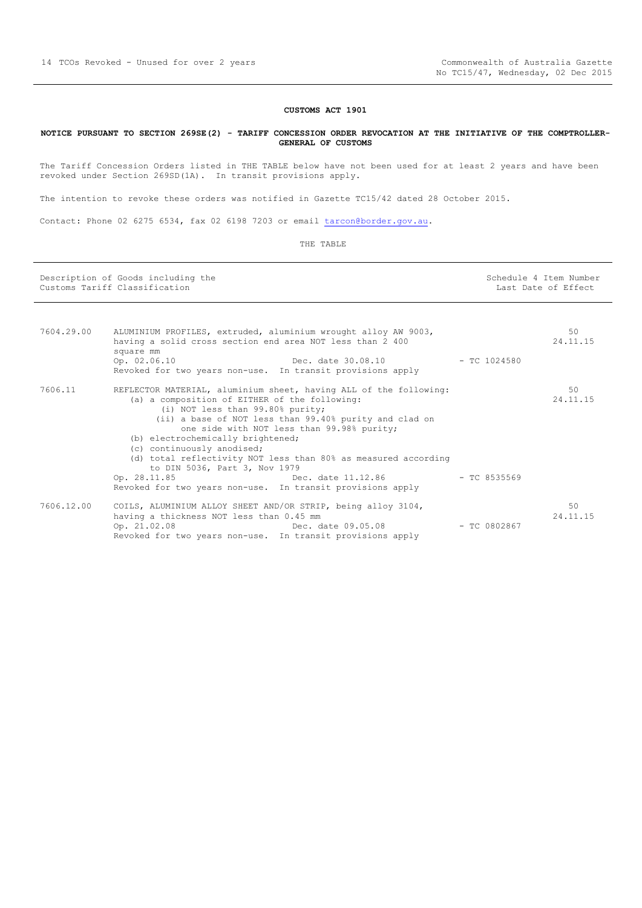#### **CUSTOMS ACT 1901**

#### <span id="page-13-0"></span>**NOTICE PURSUANT TO SECTION 269SE(2) - TARIFF CONCESSION ORDER REVOCATION AT THE INITIATIVE OF THE COMPTROLLER-GENERAL OF CUSTOMS**

The Tariff Concession Orders listed in THE TABLE below have not been used for at least 2 years and have been revoked under Section 269SD(1A). In transit provisions apply.

The intention to revoke these orders was notified in Gazette TC15/42 dated 28 October 2015.

Contact: Phone 02 6275 6534, fax 02 6198 7203 or email [tarcon@border.gov.au.](mailto:tarcon@border.gov.au)

| Description of Goods including the<br>Customs Tariff Classification |                                                                                                                                                                                                                                                                                                                                                                                                                                      |              | Schedule 4 Item Number<br>Last Date of Effect |  |
|---------------------------------------------------------------------|--------------------------------------------------------------------------------------------------------------------------------------------------------------------------------------------------------------------------------------------------------------------------------------------------------------------------------------------------------------------------------------------------------------------------------------|--------------|-----------------------------------------------|--|
|                                                                     |                                                                                                                                                                                                                                                                                                                                                                                                                                      |              |                                               |  |
| 7604.29.00                                                          | ALUMINIUM PROFILES, extruded, aluminium wrought alloy AW 9003,<br>having a solid cross section end area NOT less than 2 400<br>square mm                                                                                                                                                                                                                                                                                             |              | 50<br>24.11.15                                |  |
|                                                                     | Dec. date 30.08.10 - TC 1024580<br>Op. 02.06.10<br>Revoked for two years non-use. In transit provisions apply                                                                                                                                                                                                                                                                                                                        |              |                                               |  |
| 7606.11                                                             | REFLECTOR MATERIAL, aluminium sheet, having ALL of the following:<br>(a) a composition of EITHER of the following:<br>(i) NOT less than 99.80% purity;<br>(ii) a base of NOT less than 99.40% purity and clad on<br>one side with NOT less than 99.98% purity;<br>(b) electrochemically brightened;<br>(c) continuously anodised;<br>(d) total reflectivity NOT less than 80% as measured according<br>to DIN 5036, Part 3, Nov 1979 |              | 50<br>24.11.15                                |  |
|                                                                     | Op. 28.11.85<br>Revoked for two years non-use. In transit provisions apply                                                                                                                                                                                                                                                                                                                                                           |              |                                               |  |
| 7606.12.00                                                          | COILS, ALUMINIUM ALLOY SHEET AND/OR STRIP, being alloy 3104,<br>having a thickness NOT less than 0.45 mm<br>Op. 21.02.08<br>Dec. date 09.05.08<br>Revoked for two years non-use. In transit provisions apply                                                                                                                                                                                                                         | - TC 0802867 | 50<br>24.11.15                                |  |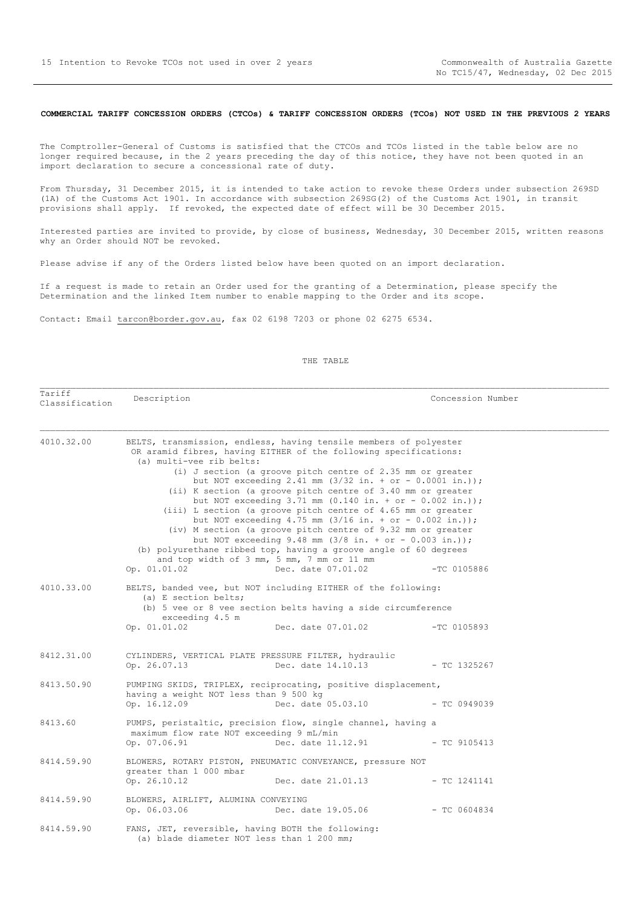#### <span id="page-14-0"></span>**COMMERCIAL TARIFF CONCESSION ORDERS (CTCOs) & TARIFF CONCESSION ORDERS (TCOs) NOT USED IN THE PREVIOUS 2 YEARS**

The Comptroller-General of Customs is satisfied that the CTCOs and TCOs listed in the table below are no longer required because, in the 2 years preceding the day of this notice, they have not been quoted in an import declaration to secure a concessional rate of duty.

From Thursday, 31 December 2015, it is intended to take action to revoke these Orders under subsection 269SD (1A) of the Customs Act 1901. In accordance with subsection 269SG(2) of the Customs Act 1901, in transit provisions shall apply. If revoked, the expected date of effect will be 30 December 2015.

Interested parties are invited to provide, by close of business, Wednesday, 30 December 2015, written reasons why an Order should NOT be revoked.

Please advise if any of the Orders listed below have been quoted on an import declaration.

If a request is made to retain an Order used for the granting of a Determination, please specify the Determination and the linked Item number to enable mapping to the Order and its scope.

Contact: Email tarcon@border.gov.au, fax 02 6198 7203 or phone 02 6275 6534.

| Tariff<br>Classification | Description                                                                                     |                                                                                                                                                                                                                                                                                                                                                                                                                                                                                                                                                                                                                                                                                                                                                                                                                                              | Concession Number |  |
|--------------------------|-------------------------------------------------------------------------------------------------|----------------------------------------------------------------------------------------------------------------------------------------------------------------------------------------------------------------------------------------------------------------------------------------------------------------------------------------------------------------------------------------------------------------------------------------------------------------------------------------------------------------------------------------------------------------------------------------------------------------------------------------------------------------------------------------------------------------------------------------------------------------------------------------------------------------------------------------------|-------------------|--|
| 4010.32.00               | (a) multi-vee rib belts:<br>Op. 01.01.02                                                        | BELTS, transmission, endless, having tensile members of polyester<br>OR aramid fibres, having EITHER of the following specifications:<br>(i) J section (a groove pitch centre of 2.35 mm or greater<br>but NOT exceeding 2.41 mm $(3/32 \text{ in.} + \text{or} - 0.0001 \text{ in.}));$<br>(ii) K section (a groove pitch centre of 3.40 mm or greater<br>but NOT exceeding 3.71 mm $(0.140 \text{ in.} + \text{or} - 0.002 \text{ in.}));$<br>(iii) L section (a groove pitch centre of 4.65 mm or greater<br>but NOT exceeding 4.75 mm $(3/16$ in. + or - 0.002 in.));<br>(iv) M section (a groove pitch centre of 9.32 mm or greater<br>but NOT exceeding 9.48 mm $(3/8$ in. + or - 0.003 in.));<br>(b) polyurethane ribbed top, having a groove angle of 60 degrees<br>and top width of 3 mm, 5 mm, 7 mm or 11 mm<br>Dec. date 07.01.02 | $-TC$ 0105886     |  |
| 4010.33.00               | (a) E section belts;<br>exceeding 4.5 m<br>Op. 01.01.02                                         | BELTS, banded vee, but NOT including EITHER of the following:<br>(b) 5 vee or 8 vee section belts having a side circumference<br>Dec. date 07.01.02                                                                                                                                                                                                                                                                                                                                                                                                                                                                                                                                                                                                                                                                                          | $-TC$ 0105893     |  |
|                          |                                                                                                 |                                                                                                                                                                                                                                                                                                                                                                                                                                                                                                                                                                                                                                                                                                                                                                                                                                              |                   |  |
| 8412.31.00               | Op. 26.07.13                                                                                    | CYLINDERS, VERTICAL PLATE PRESSURE FILTER, hydraulic<br>Dec. date 14.10.13                                                                                                                                                                                                                                                                                                                                                                                                                                                                                                                                                                                                                                                                                                                                                                   | $-$ TC 1325267    |  |
| 8413.50.90               | having a weight NOT less than 9 500 kg<br>Op. 16.12.09                                          | PUMPING SKIDS, TRIPLEX, reciprocating, positive displacement,<br>Dec. date 05.03.10                                                                                                                                                                                                                                                                                                                                                                                                                                                                                                                                                                                                                                                                                                                                                          | $-$ TC 0949039    |  |
| 8413.60                  | maximum flow rate NOT exceeding 9 mL/min<br>Op. 07.06.91                                        | PUMPS, peristaltic, precision flow, single channel, having a<br>Dec. date 11.12.91                                                                                                                                                                                                                                                                                                                                                                                                                                                                                                                                                                                                                                                                                                                                                           | $-$ TC 9105413    |  |
| 8414.59.90               | greater than 1 000 mbar<br>Op. 26.10.12                                                         | BLOWERS, ROTARY PISTON, PNEUMATIC CONVEYANCE, pressure NOT<br>Dec. date 21.01.13                                                                                                                                                                                                                                                                                                                                                                                                                                                                                                                                                                                                                                                                                                                                                             | $-$ TC 1241141    |  |
| 8414.59.90               | BLOWERS, AIRLIFT, ALUMINA CONVEYING<br>Op. 06.03.06                                             | Dec. date 19.05.06                                                                                                                                                                                                                                                                                                                                                                                                                                                                                                                                                                                                                                                                                                                                                                                                                           | $-$ TC 0604834    |  |
| 8414.59.90               | FANS, JET, reversible, having BOTH the following:<br>(a) blade diameter NOT less than 1 200 mm; |                                                                                                                                                                                                                                                                                                                                                                                                                                                                                                                                                                                                                                                                                                                                                                                                                                              |                   |  |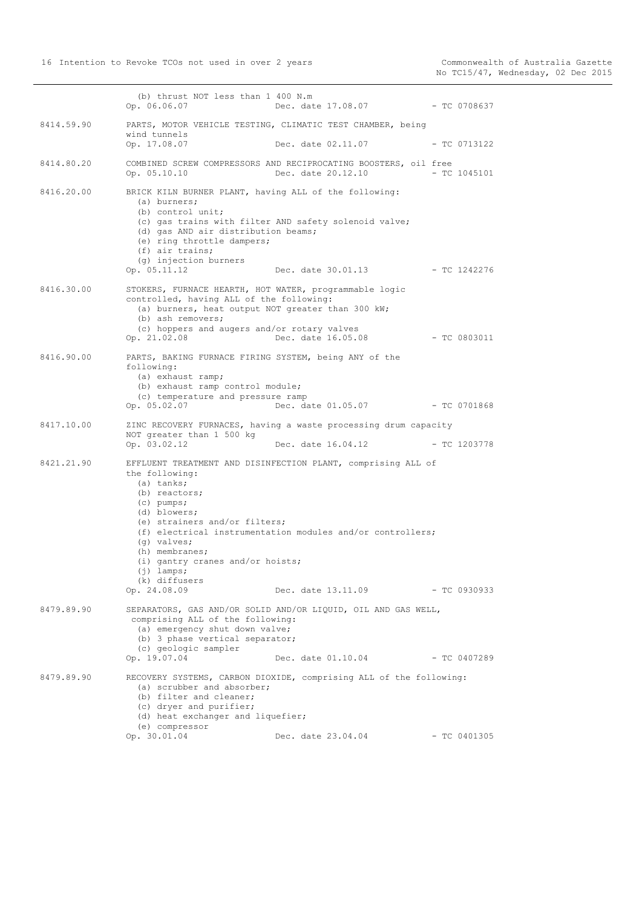(b) thrust NOT less than 1 400 N.m Op. 06.06.07 Dec. date 17.08.07 - TC 0708637 8414.59.90 PARTS, MOTOR VEHICLE TESTING, CLIMATIC TEST CHAMBER, being wind tunnels Op. 17.08.07 Dec. date 02.11.07 - TC 0713122 8414.80.20 COMBINED SCREW COMPRESSORS AND RECIPROCATING BOOSTERS, oil free<br>Op. 05.10.10 Dec. date 20.12.10 - TC 1045101 Dec. date 20.12.10 8416.20.00 BRICK KILN BURNER PLANT, having ALL of the following: (a) burners; (b) control unit; (c) gas trains with filter AND safety solenoid valve; (d) gas AND air distribution beams; (e) ring throttle dampers; (f) air trains; (g) injection burners Op. 05.11.12 Dec. date 30.01.13 - TC 1242276 8416.30.00 STOKERS, FURNACE HEARTH, HOT WATER, programmable logic controlled, having ALL of the following: (a) burners, heat output NOT greater than 300 kW; (b) ash removers; (c) hoppers and augers and/or rotary valves Op. 21.02.08 Dec. date 16.05.08 - TC 0803011 8416.90.00 PARTS, BAKING FURNACE FIRING SYSTEM, being ANY of the following: (a) exhaust ramp; (b) exhaust ramp control module; (c) temperature and pressure ramp<br>Op. 05.02.07 Dec. da Dec. date 01.05.07 - TC 0701868 8417.10.00 ZINC RECOVERY FURNACES, having a waste processing drum capacity NOT greater than 1 500 kg Op. 03.02.12 Dec. date 16.04.12 - TC 1203778 8421.21.90 EFFLUENT TREATMENT AND DISINFECTION PLANT, comprising ALL of the following: (a) tanks; (b) reactors; (c) pumps; (d) blowers; (e) strainers and/or filters; (f) electrical instrumentation modules and/or controllers; (g) valves; (h) membranes; (i) gantry cranes and/or hoists; (j) lamps; (k) diffusers Op. 24.08.09 Dec. date 13.11.09 - TC 0930933 8479.89.90 SEPARATORS, GAS AND/OR SOLID AND/OR LIQUID, OIL AND GAS WELL, comprising ALL of the following: (a) emergency shut down valve; (b) 3 phase vertical separator; (c) geologic sampler Op. 19.07.04 Dec. date 01.10.04 - TC 0407289 8479.89.90 RECOVERY SYSTEMS, CARBON DIOXIDE, comprising ALL of the following: (a) scrubber and absorber; (b) filter and cleaner; (c) dryer and purifier; (d) heat exchanger and liquefier; (e) compressor<br>Op.  $30.01.04$ Dec. date 23.04.04 - TC 0401305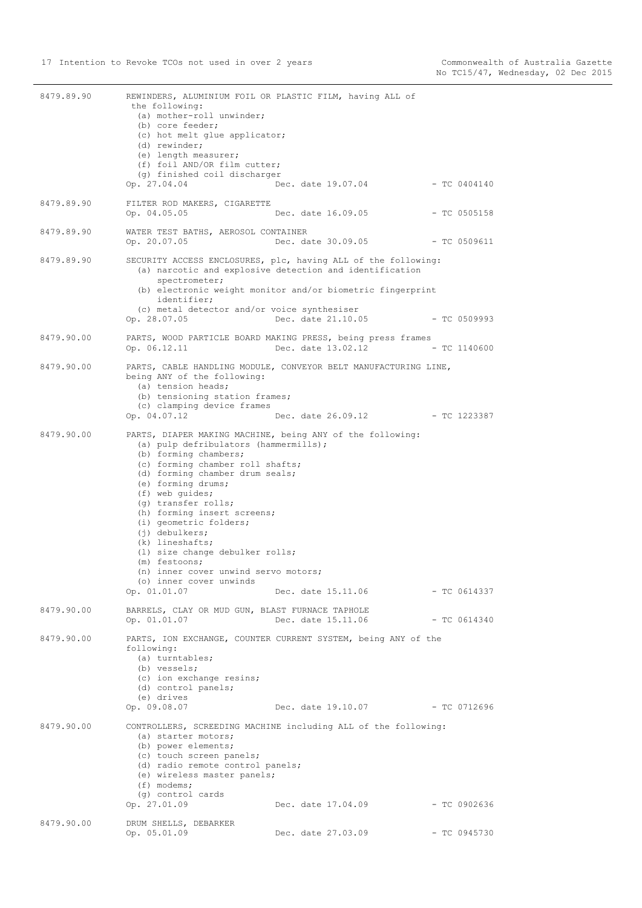| 8479.89.90 | REWINDERS, ALUMINIUM FOIL OR PLASTIC FILM, having ALL of<br>the following:<br>(a) mother-roll unwinder;<br>(b) core feeder;<br>(c) hot melt glue applicator;<br>(d) rewinder;<br>(e) length measurer;<br>(f) foil AND/OR film cutter;                                                                                                                                                                                                          |                                                                                                                                                                                                              |                |
|------------|------------------------------------------------------------------------------------------------------------------------------------------------------------------------------------------------------------------------------------------------------------------------------------------------------------------------------------------------------------------------------------------------------------------------------------------------|--------------------------------------------------------------------------------------------------------------------------------------------------------------------------------------------------------------|----------------|
|            | (g) finished coil discharger<br>Op. 27.04.04                                                                                                                                                                                                                                                                                                                                                                                                   | Dec. date 19.07.04                                                                                                                                                                                           | $-$ TC 0404140 |
| 8479.89.90 | FILTER ROD MAKERS, CIGARETTE<br>Op. 04.05.05                                                                                                                                                                                                                                                                                                                                                                                                   | Dec. date 16.09.05                                                                                                                                                                                           | $-$ TC 0505158 |
| 8479.89.90 | WATER TEST BATHS, AEROSOL CONTAINER<br>Op. 20.07.05                                                                                                                                                                                                                                                                                                                                                                                            | Dec. date 30.09.05                                                                                                                                                                                           | $-$ TC 0509611 |
| 8479.89.90 | spectrometer;<br>identifier;<br>(c) metal detector and/or voice synthesiser<br>Op. 28.07.05                                                                                                                                                                                                                                                                                                                                                    | SECURITY ACCESS ENCLOSURES, plc, having ALL of the following:<br>(a) narcotic and explosive detection and identification<br>(b) electronic weight monitor and/or biometric fingerprint<br>Dec. date 21.10.05 | $-$ TC 0509993 |
| 8479.90.00 | Op. 06.12.11                                                                                                                                                                                                                                                                                                                                                                                                                                   | PARTS, WOOD PARTICLE BOARD MAKING PRESS, being press frames<br>Dec. date 13.02.12                                                                                                                            | $-$ TC 1140600 |
| 8479.90.00 | being ANY of the following:<br>(a) tension heads;<br>(b) tensioning station frames;<br>(c) clamping device frames<br>Op. 04.07.12                                                                                                                                                                                                                                                                                                              | PARTS, CABLE HANDLING MODULE, CONVEYOR BELT MANUFACTURING LINE,<br>Dec. date 26.09.12 - TC 1223387                                                                                                           |                |
| 8479.90.00 | (a) pulp defribulators (hammermills);<br>(b) forming chambers;<br>(c) forming chamber roll shafts;<br>(d) forming chamber drum seals;<br>(e) forming drums;<br>(f) web quides;<br>(g) transfer rolls;<br>(h) forming insert screens;<br>(i) geometric folders;<br>$(i)$ debulkers;<br>$(k)$ lineshafts;<br>(1) size change debulker rolls;<br>(m) festoons;<br>(n) inner cover unwind servo motors;<br>(o) inner cover unwinds<br>Op. 01.01.07 | PARTS, DIAPER MAKING MACHINE, being ANY of the following:<br>Dec. date 15.11.06                                                                                                                              | $-$ TC 0614337 |
| 8479.90.00 | BARRELS, CLAY OR MUD GUN, BLAST FURNACE TAPHOLE<br>Op. 01.01.07                                                                                                                                                                                                                                                                                                                                                                                | Dec. date 15.11.06                                                                                                                                                                                           | - TC 0614340   |
| 8479.90.00 | following:<br>(a) turntables;<br>(b) vessels;<br>(c) ion exchange resins;<br>(d) control panels;<br>(e) drives<br>Op. 09.08.07                                                                                                                                                                                                                                                                                                                 | PARTS, ION EXCHANGE, COUNTER CURRENT SYSTEM, being ANY of the<br>Dec. date 19.10.07 - TC 0712696                                                                                                             |                |
| 8479.90.00 | (a) starter motors;<br>(b) power elements;<br>(c) touch screen panels;<br>(d) radio remote control panels;<br>(e) wireless master panels;<br>$(f)$ modems;<br>(g) control cards<br>Op. 27.01.09                                                                                                                                                                                                                                                | CONTROLLERS, SCREEDING MACHINE including ALL of the following:<br>Dec. date 17.04.09                                                                                                                         | $-$ TC 0902636 |
| 8479.90.00 | DRUM SHELLS, DEBARKER<br>Op. 05.01.09                                                                                                                                                                                                                                                                                                                                                                                                          | Dec. date 27.03.09                                                                                                                                                                                           | $-$ TC 0945730 |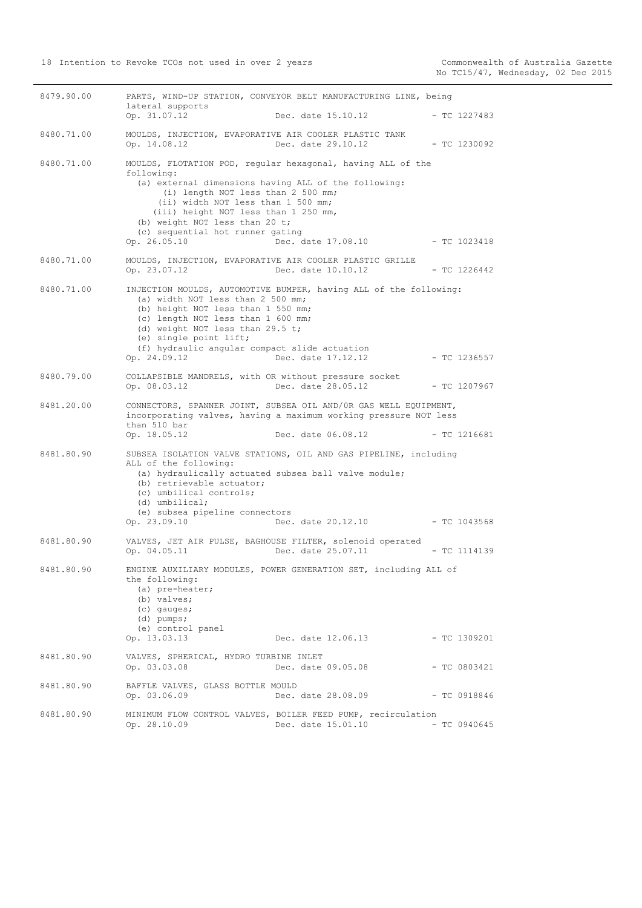| 8479.90.00 |                                                                                                                                                                                                                                                                              | PARTS, WIND-UP STATION, CONVEYOR BELT MANUFACTURING LINE, being                                                                                            |                |
|------------|------------------------------------------------------------------------------------------------------------------------------------------------------------------------------------------------------------------------------------------------------------------------------|------------------------------------------------------------------------------------------------------------------------------------------------------------|----------------|
|            | lateral supports<br>Op. 31.07.12                                                                                                                                                                                                                                             | Dec. date 15.10.12                                                                                                                                         | $-$ TC 1227483 |
| 8480.71.00 | MOULDS, INJECTION, EVAPORATIVE AIR COOLER PLASTIC TANK<br>Op. 14.08.12                                                                                                                                                                                                       | Dec. date 29.10.12                                                                                                                                         | - TC 1230092   |
| 8480.71.00 | following:<br>(a) external dimensions having ALL of the following:<br>(i) length NOT less than 2 500 mm;<br>(ii) width NOT less than 1 500 mm;<br>(iii) height NOT less than 1 250 mm,<br>(b) weight NOT less than 20 t;<br>(c) sequential hot runner gating<br>Op. 26.05.10 | MOULDS, FLOTATION POD, reqular hexagonal, having ALL of the<br>Dec. date 17.08.10                                                                          | - TC 1023418   |
| 8480.71.00 | Op. 23.07.12                                                                                                                                                                                                                                                                 | MOULDS, INJECTION, EVAPORATIVE AIR COOLER PLASTIC GRILLE<br>Dec. date 10.10.12                                                                             | - TC 1226442   |
| 8480.71.00 | (a) width NOT less than 2 500 mm;<br>(b) height NOT less than 1 550 mm;<br>(c) length NOT less than 1 600 mm;<br>(d) weight NOT less than 29.5 t;<br>(e) single point lift;<br>(f) hydraulic angular compact slide actuation<br>Op. 24.09.12                                 | INJECTION MOULDS, AUTOMOTIVE BUMPER, having ALL of the following:<br>Dec. date 17.12.12                                                                    | - TC 1236557   |
| 8480.79.00 | COLLAPSIBLE MANDRELS, with OR without pressure socket<br>Op. 08.03.12                                                                                                                                                                                                        | Dec. date 28.05.12                                                                                                                                         | $-$ TC 1207967 |
| 8481.20.00 | than 510 bar<br>Op. 18.05.12                                                                                                                                                                                                                                                 | CONNECTORS, SPANNER JOINT, SUBSEA OIL AND/OR GAS WELL EQUIPMENT,<br>incorporating valves, having a maximum working pressure NOT less<br>Dec. date 06.08.12 | $-$ TC 1216681 |
| 8481.80.90 | ALL of the following:<br>(a) hydraulically actuated subsea ball valve module;<br>(b) retrievable actuator;<br>(c) umbilical controls;<br>(d) umbilical;<br>(e) subsea pipeline connectors<br>Op. 23.09.10                                                                    | SUBSEA ISOLATION VALVE STATIONS, OIL AND GAS PIPELINE, including<br>Dec. date 20.12.10                                                                     | - TC 1043568   |
| 8481.80.90 | Op. 04.05.11                                                                                                                                                                                                                                                                 | VALVES, JET AIR PULSE, BAGHOUSE FILTER, solenoid operated<br>Dec. date 25.07.11                                                                            | $-$ TC 1114139 |
| 8481.80.90 | the following:<br>(a) pre-heater;<br>(b) valves;<br>$(c)$ qauqes;<br>$(d)$ pumps;<br>(e) control panel<br>Op. 13.03.13                                                                                                                                                       | ENGINE AUXILIARY MODULES, POWER GENERATION SET, including ALL of<br>Dec. date 12.06.13                                                                     | $-$ TC 1309201 |
| 8481.80.90 | VALVES, SPHERICAL, HYDRO TURBINE INLET<br>Op. 03.03.08                                                                                                                                                                                                                       | Dec. date 09.05.08                                                                                                                                         | $-$ TC 0803421 |
| 8481.80.90 | BAFFLE VALVES, GLASS BOTTLE MOULD<br>Op. 03.06.09                                                                                                                                                                                                                            | Dec. date 28.08.09                                                                                                                                         | $-$ TC 0918846 |
| 8481.80.90 | Op. 28.10.09                                                                                                                                                                                                                                                                 | MINIMUM FLOW CONTROL VALVES, BOILER FEED PUMP, recirculation<br>Dec. date 15.01.10                                                                         | $-$ TC 0940645 |